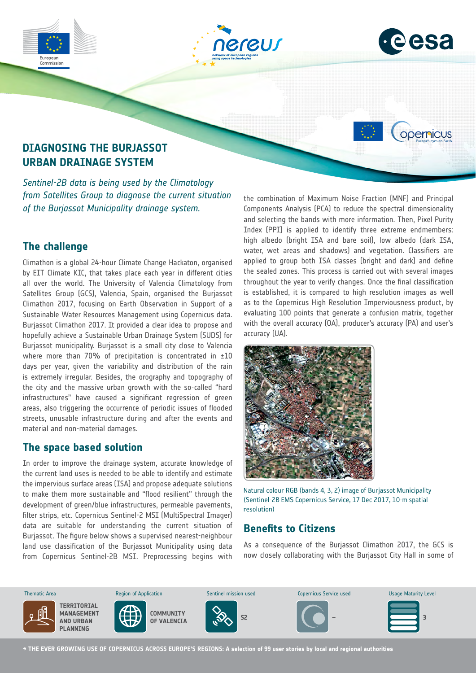



opernicus

# **DIAGNOSING THE BURJASSOT URBAN DRAINAGE SYSTEM**

*Sentinel-2B data is being used by the Climatology from Satellites Group to diagnose the current situation of the Burjassot Municipality drainage system.*

## **The challenge**

Commission

Climathon is a global 24-hour Climate Change Hackaton, organised by EIT Climate KIC, that takes place each year in different cities all over the world. The University of Valencia Climatology from Satellites Group (GCS), Valencia, Spain, organised the Burjassot Climathon 2017, focusing on Earth Observation in Support of a Sustainable Water Resources Management using Copernicus data. Burjassot Climathon 2017. It provided a clear idea to propose and hopefully achieve a Sustainable Urban Drainage System (SUDS) for Burjassot municipality. Burjassot is a small city close to Valencia where more than 70% of precipitation is concentrated in  $\pm 10$ days per year, given the variability and distribution of the rain is extremely irregular. Besides, the orography and topography of the city and the massive urban growth with the so-called "hard infrastructures" have caused a significant regression of green areas, also triggering the occurrence of periodic issues of flooded streets, unusable infrastructure during and after the events and material and non-material damages.

#### **The space based solution**

In order to improve the drainage system, accurate knowledge of the current land uses is needed to be able to identify and estimate the impervious surface areas (ISA) and propose adequate solutions to make them more sustainable and "flood resilient" through the development of green/blue infrastructures, permeable pavements, filter strips, etc. Copernicus Sentinel-2 MSI (MultiSpectral Imager) data are suitable for understanding the current situation of Burjassot. The figure below shows a supervised nearest-neighbour land use classification of the Burjassot Municipality using data from Copernicus Sentinel-2B MSI. Preprocessing begins with

the combination of Maximum Noise Fraction (MNF) and Principal Components Analysis (PCA) to reduce the spectral dimensionality and selecting the bands with more information. Then, Pixel Purity Index (PPI) is applied to identify three extreme endmembers: high albedo (bright ISA and bare soil), low albedo (dark ISA, water, wet areas and shadows) and vegetation. Classifiers are applied to group both ISA classes (bright and dark) and define the sealed zones. This process is carried out with several images throughout the year to verify changes. Once the final classification is established, it is compared to high resolution images as well as to the Copernicus High Resolution Imperviousness product, by evaluating 100 points that generate a confusion matrix, together with the overall accuracy (OA), producer's accuracy (PA) and user's accuracy (UA).



Natural colour RGB (bands 4, 3, 2) image of Burjassot Municipality (Sentinel-2B EMS Copernicus Service, 17 Dec 2017, 10-m spatial resolution)

### **Benefits to Citizens**

As a consequence of the Burjassot Climathon 2017, the GCS is now closely collaborating with the Burjassot City Hall in some of



**→ THE EVER GROWING USE OF COPERNICUS ACROSS EUROPE'S REGIONS: A selection of 99 user stories by local and regional authorities**